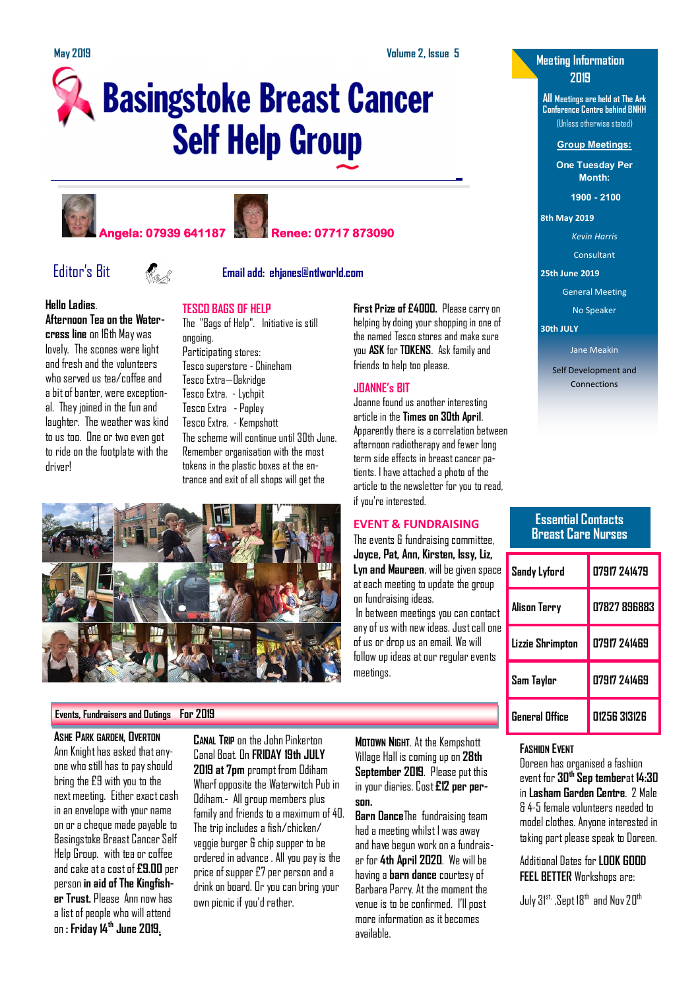**First Prize of £4000.** Please carry on helping by doing your shopping in one of the named Tesco stores and make sure you **ASK** for **TOKENS**. Ask family and

Joanne found us another interesting article in the **Times on 30th April**. Apparently there is a correlation between afternoon radiotherapy and fewer long term side effects in breast cancer patients. I have attached a photo of the

friends to help too please.

**JOANNE's BIT**

# **Basingstoke Breast Cancer Self Help Group**









### Editor's Bit **Email add: ehjanes@ntlworld.com**

#### **Hello Ladies**.

**Afternoon Tea on the Water-**

**cress line** on 16th May was lovely. The scones were light and fresh and the volunteers who served us tea/coffee and a bit of banter, were exceptional. They joined in the fun and laughter. The weather was kind to us too. One or two even got to ride on the footplate with the driver!

The "Bags of Help". Initiative is still ongoing. Participating stores: Tesco superstore - Chineham Tesco Extra—Oakridge Tesco Extra. - Lychpit Tesco Extra - Popley Tesco Extra. - Kempshott The scheme will continue until 30th June. Remember organisation with the most tokens in the plastic boxes at the entrance and exit of all shops will get the



#### **Events, Fundraisers and Outings For 2019**

**ASHE PARK GARDEN, OVERTON** Ann Knight has asked that anyone who still has to pay should bring the £9 with you to the next meeting. Either exact cash in an envelope with your name on or a cheque made payable to Basingstoke Breast Cancer Self Help Group. with tea or coffee and cake at a cost of **£9.00** per person **in aid of The Kingfisher Trust.** Please Ann now has a list of people who will attend on **: Friday 14th June 2019.** 

**CANAL TRIP** on the John Pinkerton Canal Boat. On **FRIDAY 19th JULY 2019 at 7pm** prompt from Odiham Wharf opposite the Waterwitch Pub in Odiham.- All group members plus family and friends to a maximum of 40. The trip includes a fish/chicken/ veggie burger & chip supper to be ordered in advance . All you pay is the price of supper £7 per person and a drink on board. Or you can bring your own picnic if you'd rather.

**MOTOWN NIGHT**. At the Kempshott Village Hall is coming up on **28th September 2019**. Please put this in your diaries. Cost **£12 per person.**

**Barn Dance**The fundraising team had a meeting whilst I was away and have begun work on a fundraiser for **4th April 2020**. We will be having a **barn dance** courtesy of Barbara Parry. At the moment the venue is to be confirmed. I'll post more information as it becomes available.

### **Meeting Information 2019**

**All Meetings are held at The Ark Conference Centre behind BNHH** (Unless otherwise stated)

**Group Meetings:**

**One Tuesday Per Month:**

**1900 - 2100** 

**8th May 2019**

*Kevin Harris*

Consultant

**25th June 2019**

General Meeting

No Speaker

**30th JULY**

Jane Meakin

Self Development and Connections

#### **Essential Contacts Breast Care Nurses**

| Sandy Lyford          | 07917 741479 |
|-----------------------|--------------|
| Alison Terry          | 07827 896883 |
| Lizzie Shrimpton      | 07917 241469 |
| Sam Taylor            | 07917 241469 |
| <b>General Office</b> | N1256 313126 |

#### **FASHION EVENT**

Doreen has organised a fashion event for **30th Sep tember**at **14:30** in **Lasham Garden Centre**. 2 Male & 4-5 female volunteers needed to model clothes. Anyone interested in taking part please speak to Doreen.

Additional Dates for **LOOK GOOD FEEL BETTER** Workshops are:

July  $31^{st}$ , Sept 18<sup>th</sup> and Nov 20<sup>th</sup>

## **TESCO BAGS OF HELP**